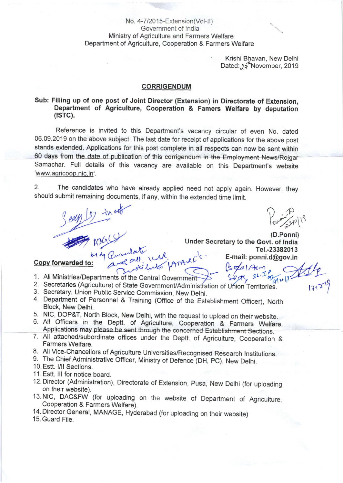# No. 4-7/2015-Extension(Vol-II) Government of India Ministry of Agriculture and Farmers Welfare Department of Agriculture, Cooperation & Farmers Welfare

Krishi Bhavan, New Delhi Dated: 34 November, 2019

## **CORRIGENDUM**

# Sub: Filling up of one post of Joint Director (Extension) in Directorate of Extension, Department of Agriculture, Cooperation & Famers Welfare by deputation  $(ISTC).$

Reference is invited to this Department's vacancy circular of even No. dated 06.09.2019 on the above subject. The last date for receipt of applications for the above post stands extended. Applications for this post complete in all respects can now be sent within 60 days from the date of publication of this corrigendum in the Employment News/Rojgar Samachar. Full details of this vacancy are available on this Department's website 'www.agricoop.nic.in'.

 $\overline{2}$ . The candidates who have already applied need not apply again. However, they should submit remaining documents, if any, within the extended time limit.

Pouring 211/19

(D.Ponni) Under Secretary to the Govt. of India Quandate response : Tel.-23382013 E-mail: ponni.d@gov.in

# Seary (1) in and Copy forwarded to:

- 1. All Ministries/Departments of the Central Government
- 2. Secretaries (Agriculture) of State Government/Administration of Union Territories.
- 3. Secretary, Union Public Service Commission, New Delhi.
- 4. Department of Personnel & Training (Office of the Establishment Officer), North Block, New Delhi.
- 5. NIC, DOP&T, North Block, New Delhi, with the request to upload on their website.
- 6. All Officers in the Deptt. of Agriculture, Cooperation & Farmers Welfare. Applications may please be sent through the concerned Establishment Sections.
- 7. All attached/subordinate offices under the Deptt. of Agriculture, Cooperation & Farmers Welfare.
- 8. All Vice-Chancellors of Agriculture Universities/Recognised Research Institutions.
- 9. The Chief Administrative Officer, Ministry of Defence (DH, PC), New Delhi.
- 10. Estt. I/II Sections.
- 11. Estt. III for notice board.
- 12. Director (Administration), Directorate of Extension, Pusa, New Delhi (for uploading on their website).
- 13. NIC, DAC&FW (for uploading on the website of Department of Agriculture, Cooperation & Farmers Welfare).
- 14. Director General, MANAGE, Hyderabad (for uploading on their website)
- 15. Guard File.